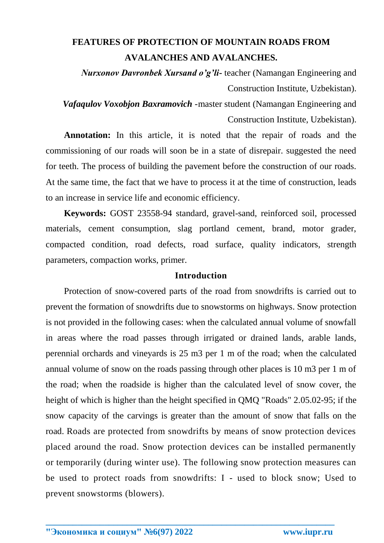## **FEATURES OF PROTECTION OF MOUNTAIN ROADS FROM AVALANCHES AND AVALANCHES.**

*Nurxonov Davronbek Xursand o'g'li-* teacher (Namangan Engineering and Construction Institute, Uzbekistan).

*Vafaqulov Voxobjon Baxramovich* -master student (Namangan Engineering and Construction Institute, Uzbekistan).

**Annotation:** In this article, it is noted that the repair of roads and the commissioning of our roads will soon be in a state of disrepair. suggested the need for teeth. The process of building the pavement before the construction of our roads. At the same time, the fact that we have to process it at the time of construction, leads to an increase in service life and economic efficiency.

**Keywords:** GOST 23558-94 standard, gravel-sand, reinforced soil, processed materials, cement consumption, slag portland cement, brand, motor grader, compacted condition, road defects, road surface, quality indicators, strength parameters, compaction works, primer.

## **Introduction**

Protection of snow-covered parts of the road from snowdrifts is carried out to prevent the formation of snowdrifts due to snowstorms on highways. Snow protection is not provided in the following cases: when the calculated annual volume of snowfall in areas where the road passes through irrigated or drained lands, arable lands, perennial orchards and vineyards is 25 m3 per 1 m of the road; when the calculated annual volume of snow on the roads passing through other places is 10 m3 per 1 m of the road; when the roadside is higher than the calculated level of snow cover, the height of which is higher than the height specified in QMQ "Roads" 2.05.02-95; if the snow capacity of the carvings is greater than the amount of snow that falls on the road. Roads are protected from snowdrifts by means of snow protection devices placed around the road. Snow protection devices can be installed permanently or temporarily (during winter use). The following snow protection measures can be used to protect roads from snowdrifts: I - used to block snow; Used to prevent snowstorms (blowers).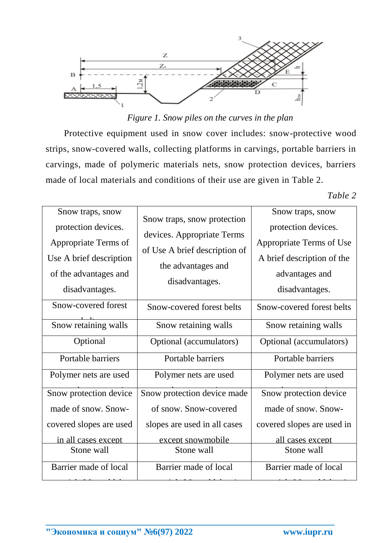

*Figure 1. Snow piles on the curves in the plan*

Protective equipment used in snow cover includes: snow-protective wood strips, snow-covered walls, collecting platforms in carvings, portable barriers in carvings, made of polymeric materials nets, snow protection devices, barriers made of local materials and conditions of their use are given in Table 2.

*Table 2*

| Snow traps, snow<br>protection devices.<br>Appropriate Terms of<br>Use A brief description<br>of the advantages and<br>disadvantages. | Snow traps, snow protection<br>devices. Appropriate Terms<br>of Use A brief description of<br>the advantages and<br>disadvantages. | Snow traps, snow<br>protection devices.<br>Appropriate Terms of Use<br>A brief description of the<br>advantages and<br>disadvantages. |
|---------------------------------------------------------------------------------------------------------------------------------------|------------------------------------------------------------------------------------------------------------------------------------|---------------------------------------------------------------------------------------------------------------------------------------|
| Snow-covered forest                                                                                                                   | Snow-covered forest belts                                                                                                          | Snow-covered forest belts                                                                                                             |
| Snow retaining walls                                                                                                                  | Snow retaining walls                                                                                                               | Snow retaining walls                                                                                                                  |
| Optional                                                                                                                              | Optional (accumulators)                                                                                                            | Optional (accumulators)                                                                                                               |
| Portable barriers                                                                                                                     | Portable barriers                                                                                                                  | Portable barriers                                                                                                                     |
| Polymer nets are used                                                                                                                 | Polymer nets are used                                                                                                              | Polymer nets are used                                                                                                                 |
| Snow protection device                                                                                                                | Snow protection device made                                                                                                        | Snow protection device                                                                                                                |
| made of snow. Snow-                                                                                                                   | of snow. Snow-covered                                                                                                              | made of snow. Snow-                                                                                                                   |
| covered slopes are used                                                                                                               | slopes are used in all cases                                                                                                       | covered slopes are used in                                                                                                            |
| in all cases except                                                                                                                   | except snowmobile                                                                                                                  | all cases except                                                                                                                      |
| Stone wall                                                                                                                            | Stone wall                                                                                                                         | Stone wall                                                                                                                            |
| Barrier made of local                                                                                                                 | Barrier made of local                                                                                                              | Barrier made of local                                                                                                                 |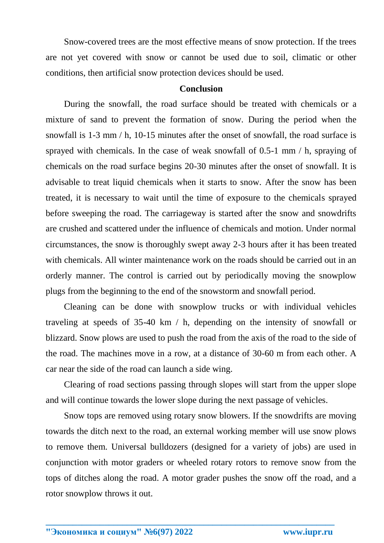Snow-covered trees are the most effective means of snow protection. If the trees are not yet covered with snow or cannot be used due to soil, climatic or other conditions, then artificial snow protection devices should be used.

## **Conclusion**

During the snowfall, the road surface should be treated with chemicals or a mixture of sand to prevent the formation of snow. During the period when the snowfall is 1-3 mm / h, 10-15 minutes after the onset of snowfall, the road surface is sprayed with chemicals. In the case of weak snowfall of 0.5-1 mm / h, spraying of chemicals on the road surface begins 20-30 minutes after the onset of snowfall. It is advisable to treat liquid chemicals when it starts to snow. After the snow has been treated, it is necessary to wait until the time of exposure to the chemicals sprayed before sweeping the road. The carriageway is started after the snow and snowdrifts are crushed and scattered under the influence of chemicals and motion. Under normal circumstances, the snow is thoroughly swept away 2-3 hours after it has been treated with chemicals. All winter maintenance work on the roads should be carried out in an orderly manner. The control is carried out by periodically moving the snowplow plugs from the beginning to the end of the snowstorm and snowfall period.

Cleaning can be done with snowplow trucks or with individual vehicles traveling at speeds of 35-40 km / h, depending on the intensity of snowfall or blizzard. Snow plows are used to push the road from the axis of the road to the side of the road. The machines move in a row, at a distance of 30-60 m from each other. A car near the side of the road can launch a side wing.

Clearing of road sections passing through slopes will start from the upper slope and will continue towards the lower slope during the next passage of vehicles.

Snow tops are removed using rotary snow blowers. If the snowdrifts are moving towards the ditch next to the road, an external working member will use snow plows to remove them. Universal bulldozers (designed for a variety of jobs) are used in conjunction with motor graders or wheeled rotary rotors to remove snow from the tops of ditches along the road. A motor grader pushes the snow off the road, and a rotor snowplow throws it out.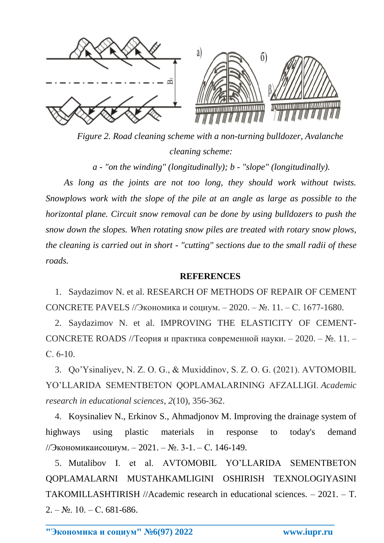

*Figure 2. Road cleaning scheme with a non-turning bulldozer, Avalanche cleaning scheme:*

*a - "on the winding" (longitudinally); b - "slope" (longitudinally).*

*As long as the joints are not too long, they should work without twists. Snowplows work with the slope of the pile at an angle as large as possible to the horizontal plane. Circuit snow removal can be done by using bulldozers to push the snow down the slopes. When rotating snow piles are treated with rotary snow plows, the cleaning is carried out in short - "cutting" sections due to the small radii of these roads.*

## **REFERENCES**

1. Saydazimov N. et al. RESEARCH OF METHODS OF REPAIR OF CEMENT CONCRETE PAVELS //Экономика и социум. – 2020. – №. 11. – С. 1677-1680.

2. Saydazimov N. et al. IMPROVING THE ELASTICITY OF CEMENT-CONCRETE ROADS //Теория и практика современной науки. – 2020. – №. 11. – С. 6-10.

3. Qo'Ysinaliyev, N. Z. O. G., & Muxiddinov, S. Z. O. G. (2021). AVTOMOBIL YO'LLARIDA SEMENTBETON QOPLAMALARINING AFZALLIGI. *Academic research in educational sciences*, *2*(10), 356-362.

4. Koysinaliev N., Erkinov S., Ahmadjonov M. Improving the drainage system of highways using plastic materials in response to today's demand //Экономикаисоциум. – 2021. – №. 3-1. – С. 146-149.

5. Mutalibov I. et al. AVTOMOBIL YO'LLARIDA SEMENTBETON QOPLAMALARNI MUSTAHKAMLIGINI OSHIRISH TEXNOLOGIYASINI TAKOMILLASHTIRISH //Academic research in educational sciences. – 2021. – Т.  $2. - N_2$ . 10. – C. 681-686.

**\_\_\_\_\_\_\_\_\_\_\_\_\_\_\_\_\_\_\_\_\_\_\_\_\_\_\_\_\_\_\_\_\_\_\_\_\_\_\_\_\_\_\_\_\_\_\_\_\_\_\_\_\_\_\_\_\_\_\_\_\_\_\_\_**

**"Экономика и социум" №6(97) 2022 www.iupr.ru**